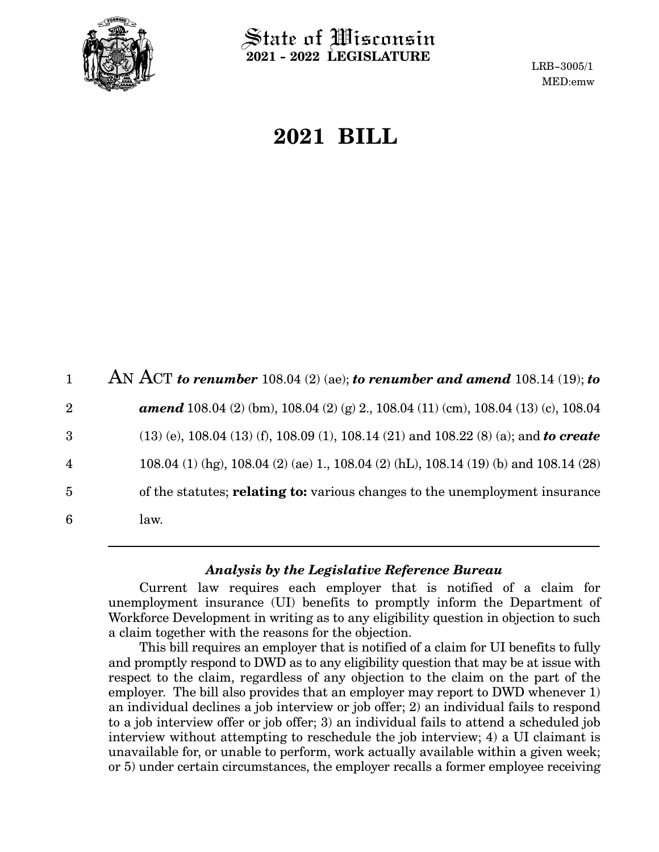

 $\operatorname{\mathsf{State}}$  of Wisconsin **2021 - 2022 LEGISLATURE**

LRB-3005/1 MED:emw

# **2021 BILL**

AN ACT *to renumber* 108.04 (2) (ae); *to renumber and amend* 108.14 (19); *to amend* 108.04 (2) (bm), 108.04 (2) (g) 2., 108.04 (11) (cm), 108.04 (13) (c), 108.04 (13) (e), 108.04 (13) (f), 108.09 (1), 108.14 (21) and 108.22 (8) (a); and *to create* 108.04 (1) (hg), 108.04 (2) (ae) 1., 108.04 (2) (hL), 108.14 (19) (b) and 108.14 (28) of the statutes; **relating to:** various changes to the unemployment insurance law. 1 2 3 4 5 6

#### *Analysis by the Legislative Reference Bureau*

Current law requires each employer that is notified of a claim for unemployment insurance (UI) benefits to promptly inform the Department of Workforce Development in writing as to any eligibility question in objection to such a claim together with the reasons for the objection.

This bill requires an employer that is notified of a claim for UI benefits to fully and promptly respond to DWD as to any eligibility question that may be at issue with respect to the claim, regardless of any objection to the claim on the part of the employer. The bill also provides that an employer may report to DWD whenever 1) an individual declines a job interview or job offer; 2) an individual fails to respond to a job interview offer or job offer; 3) an individual fails to attend a scheduled job interview without attempting to reschedule the job interview; 4) a UI claimant is unavailable for, or unable to perform, work actually available within a given week; or 5) under certain circumstances, the employer recalls a former employee receiving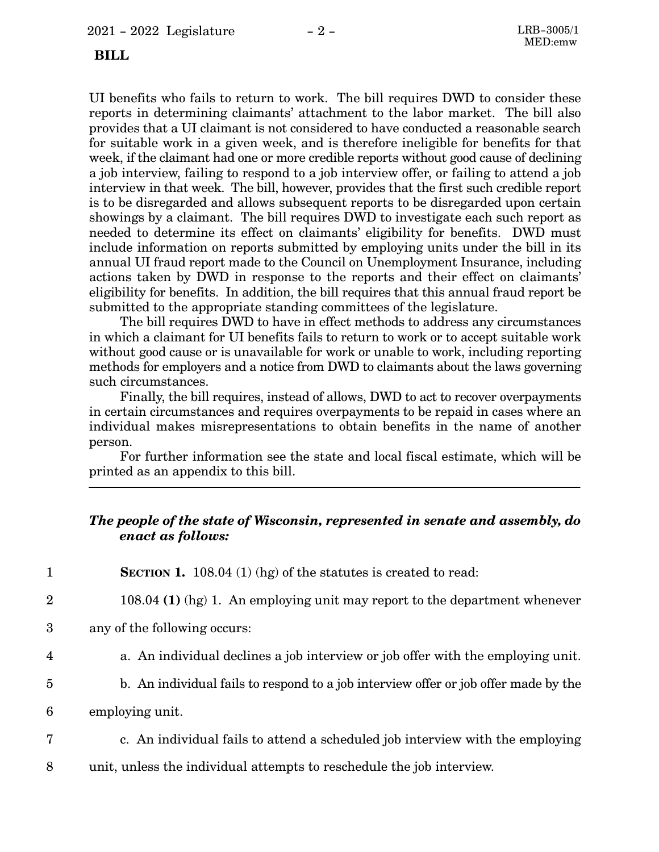#### **BILL**

UI benefits who fails to return to work. The bill requires DWD to consider these reports in determining claimants' attachment to the labor market. The bill also provides that a UI claimant is not considered to have conducted a reasonable search for suitable work in a given week, and is therefore ineligible for benefits for that week, if the claimant had one or more credible reports without good cause of declining a job interview, failing to respond to a job interview offer, or failing to attend a job interview in that week. The bill, however, provides that the first such credible report is to be disregarded and allows subsequent reports to be disregarded upon certain showings by a claimant. The bill requires DWD to investigate each such report as needed to determine its effect on claimants' eligibility for benefits. DWD must include information on reports submitted by employing units under the bill in its annual UI fraud report made to the Council on Unemployment Insurance, including actions taken by DWD in response to the reports and their effect on claimants' eligibility for benefits. In addition, the bill requires that this annual fraud report be submitted to the appropriate standing committees of the legislature.

The bill requires DWD to have in effect methods to address any circumstances in which a claimant for UI benefits fails to return to work or to accept suitable work without good cause or is unavailable for work or unable to work, including reporting methods for employers and a notice from DWD to claimants about the laws governing such circumstances.

Finally, the bill requires, instead of allows, DWD to act to recover overpayments in certain circumstances and requires overpayments to be repaid in cases where an individual makes misrepresentations to obtain benefits in the name of another person.

For further information see the state and local fiscal estimate, which will be printed as an appendix to this bill.

### *The people of the state of Wisconsin, represented in senate and assembly, do enact as follows:*

| 1              | <b>SECTION 1.</b> 108.04 (1) (hg) of the statures is created to read:               |
|----------------|-------------------------------------------------------------------------------------|
| $\overline{2}$ | 108.04 (1) (hg) 1. An employing unit may report to the department whenever          |
| 3              | any of the following occurs:                                                        |
| 4              | a. An individual declines a job interview or job offer with the employing unit.     |
| 5              | b. An individual fails to respond to a job interview offer or job offer made by the |
| 6              | employing unit.                                                                     |
| 7              | c. An individual fails to attend a scheduled job interview with the employing       |
|                |                                                                                     |

unit, unless the individual attempts to reschedule the job interview. 8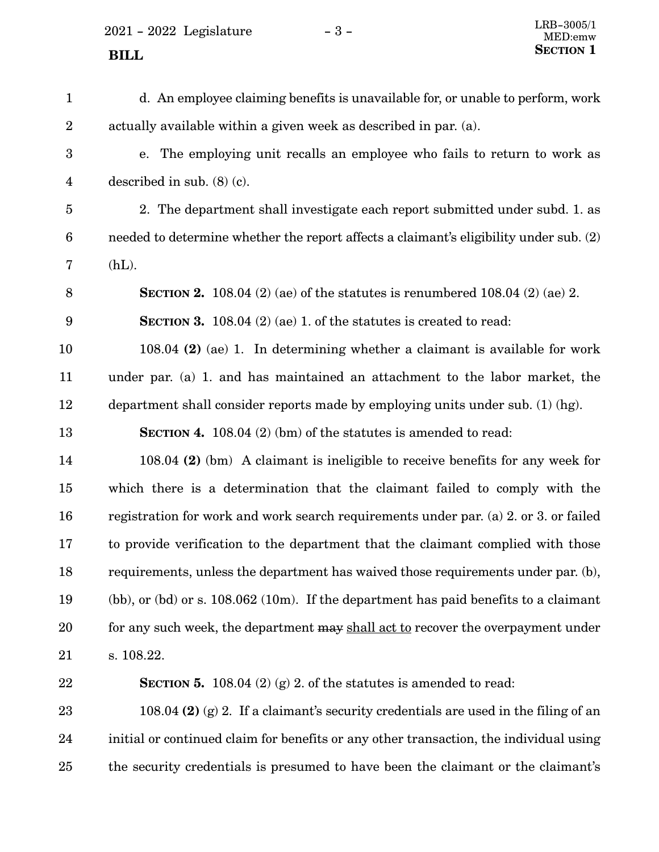$2021 - 2022$  Legislature  $-3 -$ 

d. An employee claiming benefits is unavailable for, or unable to perform, work actually available within a given week as described in par. (a). e. The employing unit recalls an employee who fails to return to work as described in sub. (8) (c). 2. The department shall investigate each report submitted under subd. 1. as needed to determine whether the report affects a claimant's eligibility under sub. (2)  $(hL)$ . **SECTION 2.** 108.04 (2) (ae) of the statutes is renumbered 108.04 (2) (ae) 2. **SECTION 3.** 108.04 (2) (ae) 1. of the statutes is created to read: 108.04 **(2)** (ae) 1. In determining whether a claimant is available for work under par. (a) 1. and has maintained an attachment to the labor market, the department shall consider reports made by employing units under sub. (1) (hg). **SECTION 4.** 108.04 (2) (bm) of the statutes is amended to read: 108.04 **(2)** (bm) A claimant is ineligible to receive benefits for any week for which there is a determination that the claimant failed to comply with the registration for work and work search requirements under par. (a) 2. or 3. or failed to provide verification to the department that the claimant complied with those requirements, unless the department has waived those requirements under par. (b), (bb), or (bd) or s. 108.062 (10m). If the department has paid benefits to a claimant for any such week, the department may shall act to recover the overpayment under s. 108.22. **SECTION 5.** 108.04 (2) (g) 2. of the statutes is amended to read: 108.04 **(2)** (g) 2. If a claimant's security credentials are used in the filing of an initial or continued claim for benefits or any other transaction, the individual using the security credentials is presumed to have been the claimant or the claimant's 1 2 3 4 5 6 7 8 9 10 11 12 13 14 15 16 17 18 19 20 21 22 23 24 25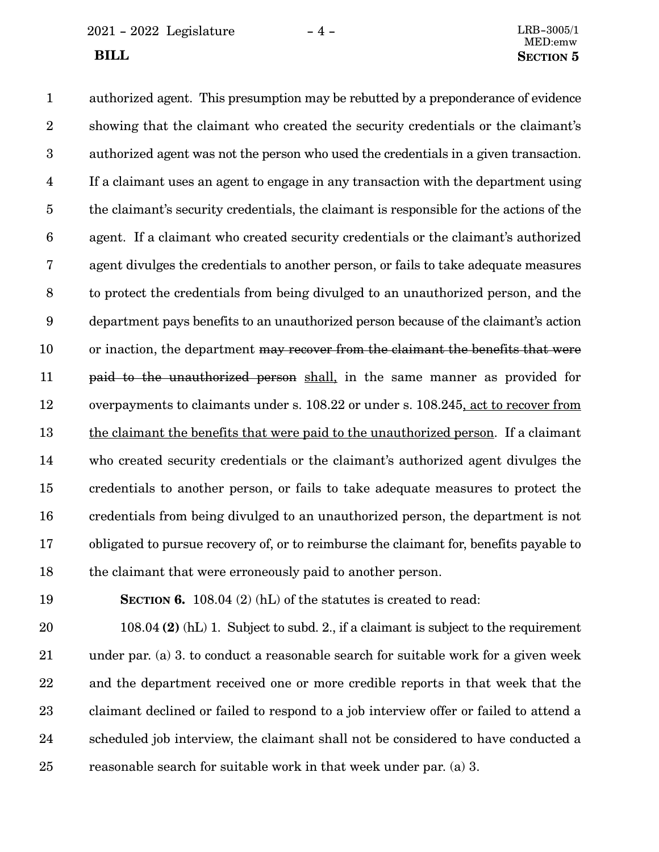$2021 - 2022$  Legislature  $-4 -$ 

authorized agent. This presumption may be rebutted by a preponderance of evidence showing that the claimant who created the security credentials or the claimant's authorized agent was not the person who used the credentials in a given transaction. If a claimant uses an agent to engage in any transaction with the department using the claimant's security credentials, the claimant is responsible for the actions of the agent. If a claimant who created security credentials or the claimant's authorized agent divulges the credentials to another person, or fails to take adequate measures to protect the credentials from being divulged to an unauthorized person, and the department pays benefits to an unauthorized person because of the claimant's action or inaction, the department may recover from the claimant the benefits that were paid to the unauthorized person shall, in the same manner as provided for overpayments to claimants under s. 108.22 or under s. 108.245, act to recover from the claimant the benefits that were paid to the unauthorized person. If a claimant who created security credentials or the claimant's authorized agent divulges the credentials to another person, or fails to take adequate measures to protect the credentials from being divulged to an unauthorized person, the department is not obligated to pursue recovery of, or to reimburse the claimant for, benefits payable to the claimant that were erroneously paid to another person. 1 2 3 4 5 6 7 8 9 10 11 12 13 14 15 16 17 18

19

**SECTION 6.** 108.04 (2) (hL) of the statutes is created to read:

108.04 **(2)** (hL) 1. Subject to subd. 2., if a claimant is subject to the requirement under par. (a) 3. to conduct a reasonable search for suitable work for a given week and the department received one or more credible reports in that week that the claimant declined or failed to respond to a job interview offer or failed to attend a scheduled job interview, the claimant shall not be considered to have conducted a reasonable search for suitable work in that week under par. (a) 3. 20 21 22 23 24 25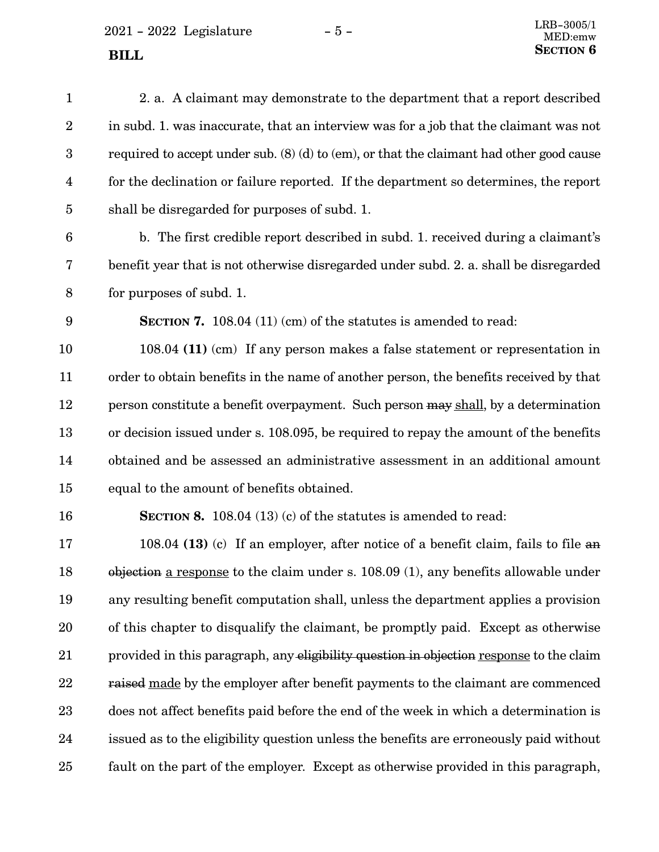2021 - 2022 Legislature $\hspace{1.5mm}$  -  $5$  -

| $\mathbf{1}$     | 2. a. A claimant may demonstrate to the department that a report described                 |
|------------------|--------------------------------------------------------------------------------------------|
| $\boldsymbol{2}$ | in subd. 1. was inaccurate, that an interview was for a job that the claimant was not      |
| $\boldsymbol{3}$ | required to accept under sub. $(8)$ (d) to (em), or that the claimant had other good cause |
| $\overline{4}$   | for the declination or failure reported. If the department so determines, the report       |
| $\overline{5}$   | shall be disregarded for purposes of subd. 1.                                              |
| $6\phantom{1}6$  | b. The first credible report described in subd. 1. received during a claimant's            |
| 7                | benefit year that is not otherwise disregarded under subd. 2. a. shall be disregarded      |
| 8                | for purposes of subd. 1.                                                                   |
| 9                | <b>SECTION 7.</b> 108.04 (11) (cm) of the statutes is amended to read:                     |
| 10               | 108.04 (11) (cm) If any person makes a false statement or representation in                |
| 11               | order to obtain benefits in the name of another person, the benefits received by that      |
| 12               | person constitute a benefit overpayment. Such person may shall, by a determination         |
| 13               | or decision issued under s. 108.095, be required to repay the amount of the benefits       |
| 14               | obtained and be assessed an administrative assessment in an additional amount              |
| 15               | equal to the amount of benefits obtained.                                                  |
| 16               | SECTION 8. 108.04 $(13)$ (c) of the statutes is amended to read:                           |
| 17               | 108.04 (13) (c) If an employer, after notice of a benefit claim, fails to file an          |
| 18               | $objection$ a response to the claim under s. 108.09 (1), any benefits allowable under      |
| 19               | any resulting benefit computation shall, unless the department applies a provision         |
| 20               | of this chapter to disqualify the claimant, be promptly paid. Except as otherwise          |
| $21\,$           | provided in this paragraph, any eligibility question in objection response to the claim    |
| 22               | raised made by the employer after benefit payments to the claimant are commenced           |
| 23               | does not affect benefits paid before the end of the week in which a determination is       |
| 24               | issued as to the eligibility question unless the benefits are erroneously paid without     |
| 25               | fault on the part of the employer. Except as otherwise provided in this paragraph,         |
|                  |                                                                                            |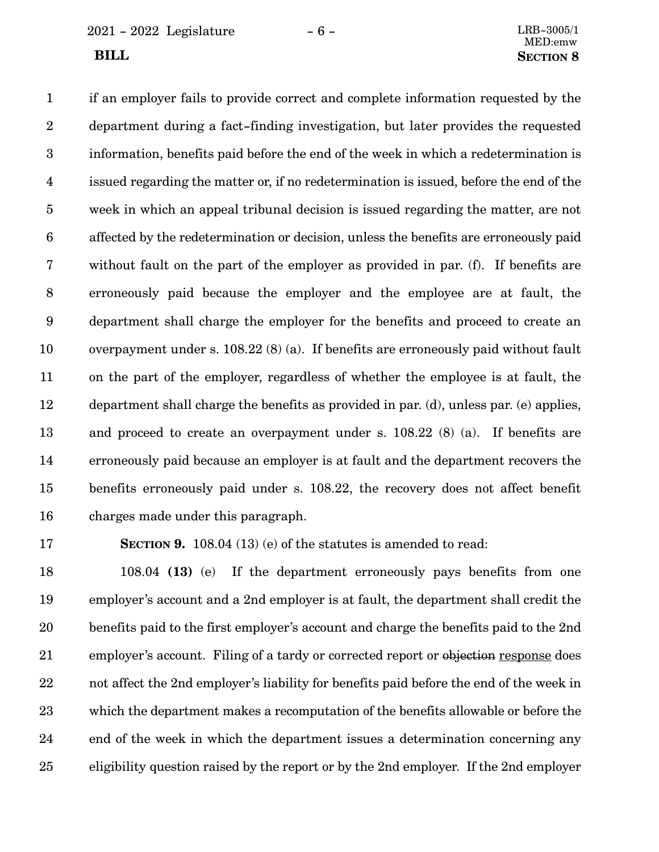2021 - 2022 Legislature - 6 - LRB-3005/1

if an employer fails to provide correct and complete information requested by the department during a fact-finding investigation, but later provides the requested information, benefits paid before the end of the week in which a redetermination is issued regarding the matter or, if no redetermination is issued, before the end of the week in which an appeal tribunal decision is issued regarding the matter, are not affected by the redetermination or decision, unless the benefits are erroneously paid without fault on the part of the employer as provided in par. (f). If benefits are erroneously paid because the employer and the employee are at fault, the department shall charge the employer for the benefits and proceed to create an overpayment under s. 108.22 (8) (a). If benefits are erroneously paid without fault on the part of the employer, regardless of whether the employee is at fault, the department shall charge the benefits as provided in par. (d), unless par. (e) applies, and proceed to create an overpayment under s. 108.22 (8) (a). If benefits are erroneously paid because an employer is at fault and the department recovers the benefits erroneously paid under s. 108.22, the recovery does not affect benefit charges made under this paragraph. 1 2 3 4 5 6 7 8 9 10 11 12 13 14 15 16

17

**SECTION 9.** 108.04 (13) (e) of the statutes is amended to read:

108.04 **(13)** (e) If the department erroneously pays benefits from one employer's account and a 2nd employer is at fault, the department shall credit the benefits paid to the first employer's account and charge the benefits paid to the 2nd employer's account. Filing of a tardy or corrected report or objection response does not affect the 2nd employer's liability for benefits paid before the end of the week in which the department makes a recomputation of the benefits allowable or before the end of the week in which the department issues a determination concerning any eligibility question raised by the report or by the 2nd employer. If the 2nd employer 18 19 20 21 22 23 24 25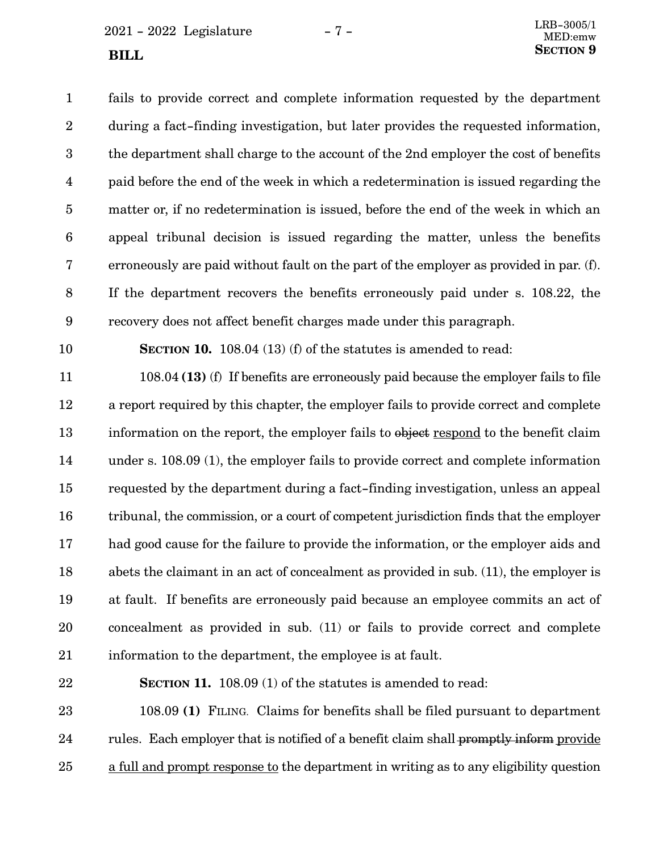$2021 - 2022$  Legislature  $-7 -$ 

fails to provide correct and complete information requested by the department during a fact-finding investigation, but later provides the requested information, the department shall charge to the account of the 2nd employer the cost of benefits paid before the end of the week in which a redetermination is issued regarding the matter or, if no redetermination is issued, before the end of the week in which an appeal tribunal decision is issued regarding the matter, unless the benefits erroneously are paid without fault on the part of the employer as provided in par. (f). If the department recovers the benefits erroneously paid under s. 108.22, the recovery does not affect benefit charges made under this paragraph. 1 2 3 4 5 6 7 8 9

10

**SECTION 10.** 108.04 (13) (f) of the statutes is amended to read:

108.04 **(13)** (f) If benefits are erroneously paid because the employer fails to file a report required by this chapter, the employer fails to provide correct and complete information on the report, the employer fails to object respond to the benefit claim under s. 108.09 (1), the employer fails to provide correct and complete information requested by the department during a fact-finding investigation, unless an appeal tribunal, the commission, or a court of competent jurisdiction finds that the employer had good cause for the failure to provide the information, or the employer aids and abets the claimant in an act of concealment as provided in sub. (11), the employer is at fault. If benefits are erroneously paid because an employee commits an act of concealment as provided in sub. (11) or fails to provide correct and complete information to the department, the employee is at fault. 11 12 13 14 15 16 17 18 19 20 21

#### 22

**SECTION 11.** 108.09 (1) of the statutes is amended to read:

108.09 **(1)** FILING. Claims for benefits shall be filed pursuant to department rules. Each employer that is notified of a benefit claim shall promptly inform provide a full and prompt response to the department in writing as to any eligibility question 23 24 25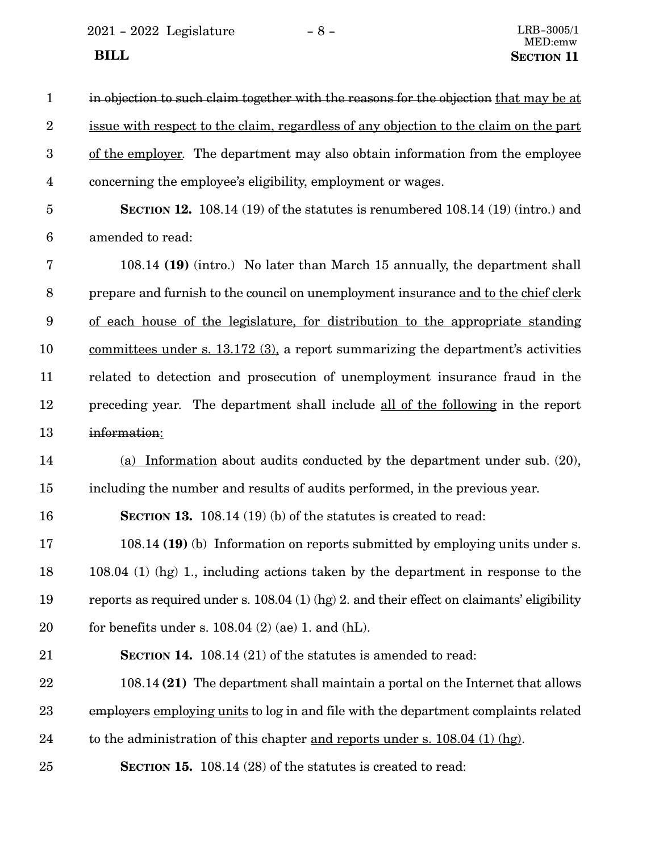2021 - 2022 Legislature -  $8$  -  $\,$ 

| $\mathbf{1}$            | in objection to such claim together with the reasons for the objection that may be at        |
|-------------------------|----------------------------------------------------------------------------------------------|
| $\overline{2}$          | issue with respect to the claim, regardless of any objection to the claim on the part        |
| 3                       | of the employer. The department may also obtain information from the employee                |
| $\overline{\mathbf{4}}$ | concerning the employee's eligibility, employment or wages.                                  |
| $\overline{5}$          | SECTION 12. 108.14 $(19)$ of the statutes is renumbered 108.14 $(19)$ (intro.) and           |
| $\boldsymbol{6}$        | amended to read:                                                                             |
| 7                       | 108.14 (19) (intro.) No later than March 15 annually, the department shall                   |
| $8\,$                   | prepare and furnish to the council on unemployment insurance and to the chief clerk          |
| $9\phantom{.0}$         | of each house of the legislature, for distribution to the appropriate standing               |
| 10                      | committees under s. $13.172$ (3), a report summarizing the department's activities           |
| 11                      | related to detection and prosecution of unemployment insurance fraud in the                  |
| 12                      | preceding year. The department shall include all of the following in the report              |
| 13                      | information:                                                                                 |
| 14                      | (a) Information about audits conducted by the department under sub. $(20)$ ,                 |
| 15                      | including the number and results of audits performed, in the previous year.                  |
| 16                      | <b>SECTION 13.</b> 108.14 (19) (b) of the statutes is created to read:                       |
| 17                      | 108.14 (19) (b) Information on reports submitted by employing units under s.                 |
| 18                      | $108.04$ (1) (hg) 1, including actions taken by the department in response to the            |
| 19                      | reports as required under s. $108.04$ (1) (hg) 2. and their effect on claimants' eligibility |
| 20                      | for benefits under s. $108.04$ (2) (ae) 1. and (hL).                                         |
| 21                      | <b>SECTION 14.</b> 108.14 (21) of the statutes is amended to read:                           |
| 22                      | 108.14 (21) The department shall maintain a portal on the Internet that allows               |
| 23                      | employers employing units to log in and file with the department complaints related          |
| 24                      | to the administration of this chapter and reports under s. 108.04 (1) (hg).                  |
| 25                      | <b>SECTION 15.</b> 108.14 (28) of the statutes is created to read:                           |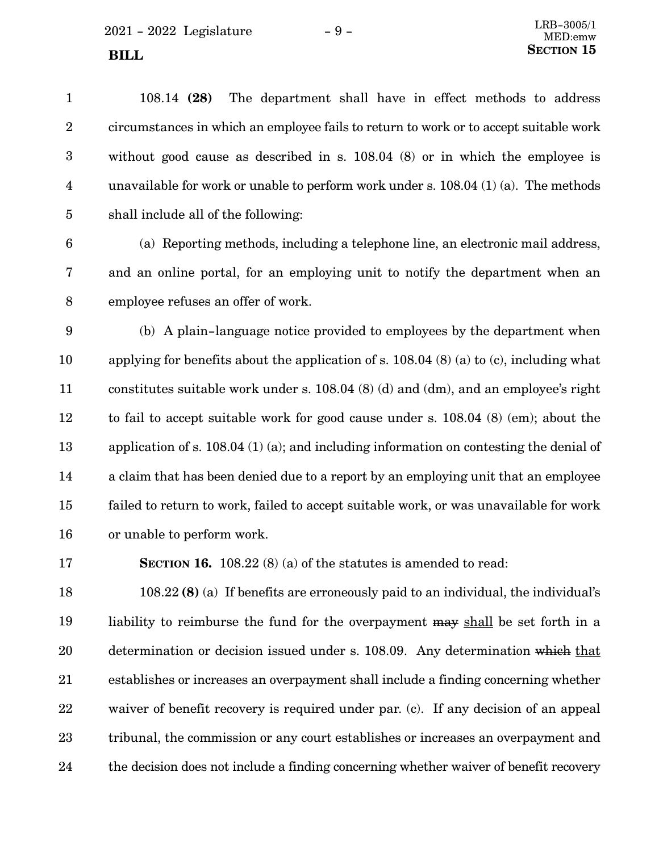$2021 - 2022$  Legislature  $-9 -$ **SECTION** 15

108.14 **(28)** The department shall have in effect methods to address circumstances in which an employee fails to return to work or to accept suitable work without good cause as described in s. 108.04 (8) or in which the employee is unavailable for work or unable to perform work under s. 108.04 (1) (a). The methods shall include all of the following: 1 2 3 4 5

(a) Reporting methods, including a telephone line, an electronic mail address, and an online portal, for an employing unit to notify the department when an employee refuses an offer of work. 6 7 8

(b) A plain-language notice provided to employees by the department when applying for benefits about the application of s. 108.04 (8) (a) to (c), including what constitutes suitable work under s. 108.04 (8) (d) and (dm), and an employee's right to fail to accept suitable work for good cause under s. 108.04 (8) (em); about the application of s. 108.04 (1) (a); and including information on contesting the denial of a claim that has been denied due to a report by an employing unit that an employee failed to return to work, failed to accept suitable work, or was unavailable for work or unable to perform work. 9 10 11 12 13 14 15 16

17

**SECTION 16.** 108.22 (8) (a) of the statutes is amended to read:

108.22 **(8)** (a) If benefits are erroneously paid to an individual, the individual's liability to reimburse the fund for the overpayment may shall be set forth in a determination or decision issued under s. 108.09. Any determination which that establishes or increases an overpayment shall include a finding concerning whether waiver of benefit recovery is required under par. (c). If any decision of an appeal tribunal, the commission or any court establishes or increases an overpayment and the decision does not include a finding concerning whether waiver of benefit recovery 18 19 20 21 22 23 24